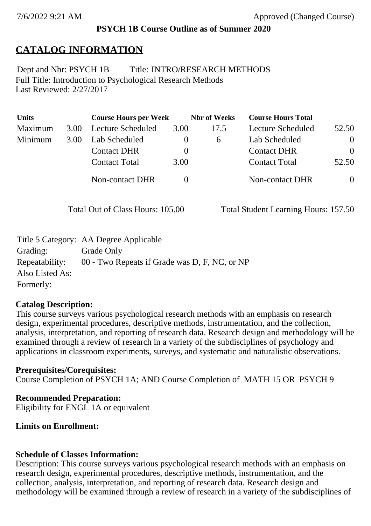## **PSYCH 1B Course Outline as of Summer 2020**

# **CATALOG INFORMATION**

Full Title: Introduction to Psychological Research Methods Last Reviewed: 2/27/2017 Dept and Nbr: PSYCH 1B Title: INTRO/RESEARCH METHODS

| <b>Units</b> |      | <b>Course Hours per Week</b> |          | <b>Nbr</b> of Weeks | <b>Course Hours Total</b> |                |
|--------------|------|------------------------------|----------|---------------------|---------------------------|----------------|
| Maximum      | 3.00 | Lecture Scheduled            | 3.00     | 17.5                | <b>Lecture Scheduled</b>  | 52.50          |
| Minimum      | 3.00 | Lab Scheduled                | $\theta$ | 6                   | Lab Scheduled             | $\theta$       |
|              |      | <b>Contact DHR</b>           | $\theta$ |                     | <b>Contact DHR</b>        | $\Omega$       |
|              |      | <b>Contact Total</b>         | 3.00     |                     | <b>Contact Total</b>      | 52.50          |
|              |      | Non-contact DHR              |          |                     | <b>Non-contact DHR</b>    | $\overline{0}$ |

Total Out of Class Hours: 105.00 Total Student Learning Hours: 157.50

|                 | Title 5 Category: AA Degree Applicable        |
|-----------------|-----------------------------------------------|
| Grading:        | Grade Only                                    |
| Repeatability:  | 00 - Two Repeats if Grade was D, F, NC, or NP |
| Also Listed As: |                                               |
| Formerly:       |                                               |

## **Catalog Description:**

This course surveys various psychological research methods with an emphasis on research design, experimental procedures, descriptive methods, instrumentation, and the collection, analysis, interpretation, and reporting of research data. Research design and methodology will be examined through a review of research in a variety of the subdisciplines of psychology and applications in classroom experiments, surveys, and systematic and naturalistic observations.

## **Prerequisites/Corequisites:**

Course Completion of PSYCH 1A; AND Course Completion of MATH 15 OR PSYCH 9

## **Recommended Preparation:**

Eligibility for ENGL 1A or equivalent

## **Limits on Enrollment:**

# **Schedule of Classes Information:**

Description: This course surveys various psychological research methods with an emphasis on research design, experimental procedures, descriptive methods, instrumentation, and the collection, analysis, interpretation, and reporting of research data. Research design and methodology will be examined through a review of research in a variety of the subdisciplines of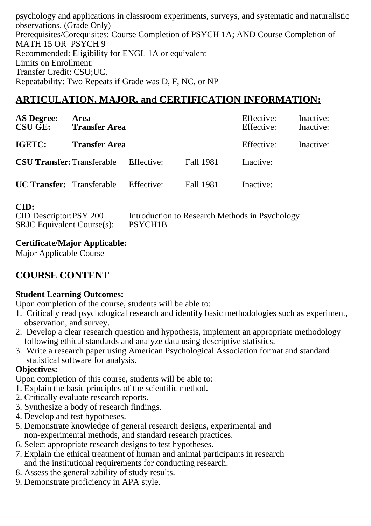psychology and applications in classroom experiments, surveys, and systematic and naturalistic observations. (Grade Only) Prerequisites/Corequisites: Course Completion of PSYCH 1A; AND Course Completion of MATH 15 OR PSYCH 9 Recommended: Eligibility for ENGL 1A or equivalent Limits on Enrollment: Transfer Credit: CSU;UC. Repeatability: Two Repeats if Grade was D, F, NC, or NP

## **ARTICULATION, MAJOR, and CERTIFICATION INFORMATION:**

| <b>AS Degree:</b><br><b>CSU GE:</b> Transfer Area | Area                 |            |                  | Effective:<br>Effective: | Inactive:<br>Inactive: |
|---------------------------------------------------|----------------------|------------|------------------|--------------------------|------------------------|
| IGETC:                                            | <b>Transfer Area</b> |            |                  | Effective:               | Inactive:              |
| <b>CSU Transfer: Transferable</b>                 |                      | Effective: | Fall 1981        | Inactive:                |                        |
| <b>UC Transfer:</b> Transferable Effective:       |                      |            | <b>Fall 1981</b> | Inactive:                |                        |

#### **CID:**

| CID Descriptor:PSY 200            | Introduction to Research Methods in Psychology |
|-----------------------------------|------------------------------------------------|
| <b>SRJC</b> Equivalent Course(s): | PSYCH <sub>1</sub> B                           |

### **Certificate/Major Applicable:**

[Major Applicable Course](SR_ClassCheck.aspx?CourseKey=PSYCH1B)

## **COURSE CONTENT**

### **Student Learning Outcomes:**

Upon completion of the course, students will be able to:

- 1. Critically read psychological research and identify basic methodologies such as experiment, observation, and survey.
- 2. Develop a clear research question and hypothesis, implement an appropriate methodology following ethical standards and analyze data using descriptive statistics.
- 3. Write a research paper using American Psychological Association format and standard statistical software for analysis.

### **Objectives:**

Upon completion of this course, students will be able to:

- 1. Explain the basic principles of the scientific method.
- 2. Critically evaluate research reports.
- 3. Synthesize a body of research findings.
- 4. Develop and test hypotheses.
- 5. Demonstrate knowledge of general research designs, experimental and non-experimental methods, and standard research practices.
- 6. Select appropriate research designs to test hypotheses.
- 7. Explain the ethical treatment of human and animal participants in research and the institutional requirements for conducting research.
- 8. Assess the generalizability of study results.
- 9. Demonstrate proficiency in APA style.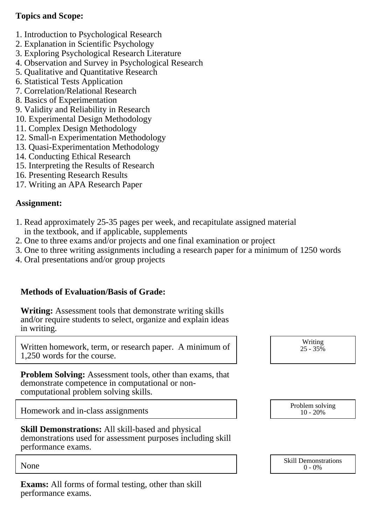### **Topics and Scope:**

- 1. Introduction to Psychological Research
- 2. Explanation in Scientific Psychology
- 3. Exploring Psychological Research Literature
- 4. Observation and Survey in Psychological Research
- 5. Qualitative and Quantitative Research
- 6. Statistical Tests Application
- 7. Correlation/Relational Research
- 8. Basics of Experimentation
- 9. Validity and Reliability in Research
- 10. Experimental Design Methodology
- 11. Complex Design Methodology
- 12. Small-n Experimentation Methodology
- 13. Quasi-Experimentation Methodology
- 14. Conducting Ethical Research
- 15. Interpreting the Results of Research
- 16. Presenting Research Results
- 17. Writing an APA Research Paper

### **Assignment:**

- 1. Read approximately 25-35 pages per week, and recapitulate assigned material in the textbook, and if applicable, supplements
- 2. One to three exams and/or projects and one final examination or project
- 3. One to three writing assignments including a research paper for a minimum of 1250 words
- 4. Oral presentations and/or group projects

### **Methods of Evaluation/Basis of Grade:**

**Writing:** Assessment tools that demonstrate writing skills and/or require students to select, organize and explain ideas in writing.

Written homework, term, or research paper. A minimum of 1,250 words for the course.

**Problem Solving:** Assessment tools, other than exams, that demonstrate competence in computational or noncomputational problem solving skills.

Homework and in-class assignments

**Skill Demonstrations:** All skill-based and physical demonstrations used for assessment purposes including skill performance exams.

**Exams:** All forms of formal testing, other than skill performance exams.

| Writing    |  |
|------------|--|
| $25 - 35%$ |  |
|            |  |

| Problem solving |
|-----------------|
| $10 - 20%$      |